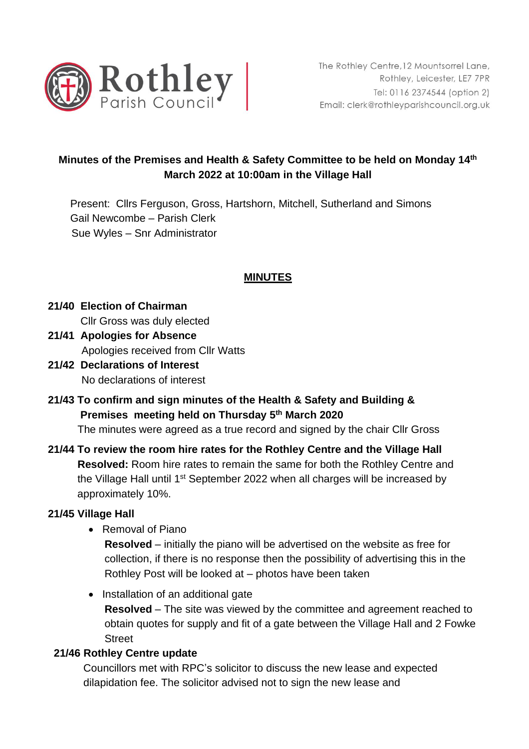

# **Minutes of the Premises and Health & Safety Committee to be held on Monday 14th March 2022 at 10:00am in the Village Hall**

Present: Cllrs Ferguson, Gross, Hartshorn, Mitchell, Sutherland and Simons Gail Newcombe – Parish Clerk Sue Wyles – Snr Administrator

## **MINUTES**

 **21/40 Election of Chairman**  Cllr Gross was duly elected

- **21/41 Apologies for Absence** Apologies received from Cllr Watts
- **21/42 Declarations of Interest** No declarations of interest
- **21/43 To confirm and sign minutes of the Health & Safety and Building & Premises meeting held on Thursday 5th March 2020**

The minutes were agreed as a true record and signed by the chair Cllr Gross

 **21/44 To review the room hire rates for the Rothley Centre and the Village Hall Resolved:** Room hire rates to remain the same for both the Rothley Centre and the Village Hall until 1<sup>st</sup> September 2022 when all charges will be increased by approximately 10%.

#### **21/45 Village Hall**

• Removal of Piano

**Resolved** – initially the piano will be advertised on the website as free for collection, if there is no response then the possibility of advertising this in the Rothley Post will be looked at – photos have been taken

• Installation of an additional gate

**Resolved** – The site was viewed by the committee and agreement reached to obtain quotes for supply and fit of a gate between the Village Hall and 2 Fowke **Street** 

## **21/46 Rothley Centre update**

Councillors met with RPC's solicitor to discuss the new lease and expected dilapidation fee. The solicitor advised not to sign the new lease and